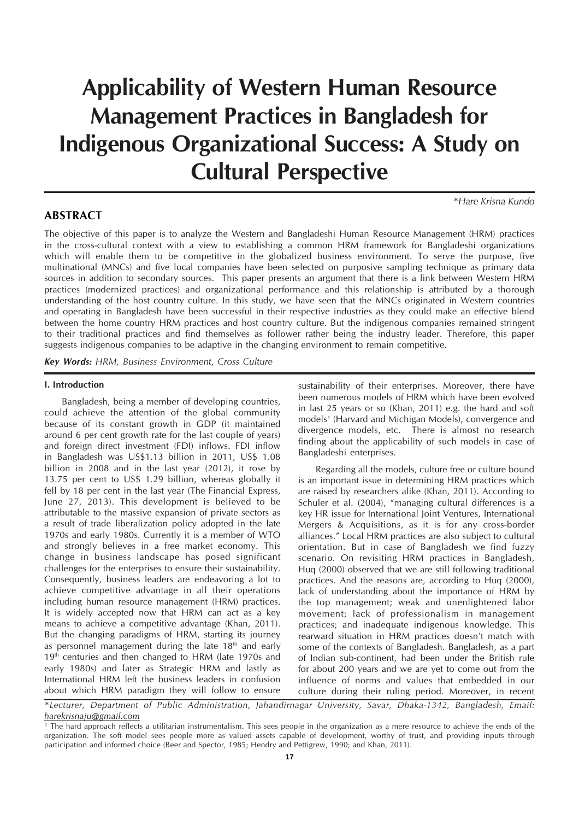# **Applicability of Western Human Resource Management Practices in Bangladesh for Indigenous Organizational Success: A Study on Cultural Perspective**

## **ABSTRACT**

*\*Hare Krisna Kundo*

The objective of this paper is to analyze the Western and Bangladeshi Human Resource Management (HRM) practices in the cross-cultural context with a view to establishing a common HRM framework for Bangladeshi organizations which will enable them to be competitive in the globalized business environment. To serve the purpose, five multinational (MNCs) and five local companies have been selected on purposive sampling technique as primary data sources in addition to secondary sources. This paper presents an argument that there is a link between Western HRM practices (modernized practices) and organizational performance and this relationship is attributed by a thorough understanding of the host country culture. In this study, we have seen that the MNCs originated in Western countries and operating in Bangladesh have been successful in their respective industries as they could make an effective blend between the home country HRM practices and host country culture. But the indigenous companies remained stringent to their traditional practices and find themselves as follower rather being the industry leader. Therefore, this paper suggests indigenous companies to be adaptive in the changing environment to remain competitive.

*Key Words: HRM, Business Environment, Cross Culture*

#### **I. Introduction**

Bangladesh, being a member of developing countries, could achieve the attention of the global community because of its constant growth in GDP (it maintained around 6 per cent growth rate for the last couple of years) and foreign direct investment (FDI) inflows. FDI inflow in Bangladesh was US\$1.13 billion in 2011, US\$ 1.08 billion in 2008 and in the last year (2012), it rose by 13.75 per cent to US\$ 1.29 billion, whereas globally it fell by 18 per cent in the last year (The Financial Express, June 27, 2013). This development is believed to be attributable to the massive expansion of private sectors as a result of trade liberalization policy adopted in the late 1970s and early 1980s. Currently it is a member of WTO and strongly believes in a free market economy. This change in business landscape has posed significant challenges for the enterprises to ensure their sustainability. Consequently, business leaders are endeavoring a lot to achieve competitive advantage in all their operations including human resource management (HRM) practices. It is widely accepted now that HRM can act as a key means to achieve a competitive advantage (Khan, 2011). But the changing paradigms of HRM, starting its journey as personnel management during the late  $18<sup>th</sup>$  and early 19<sup>th</sup> centuries and then changed to HRM (late 1970s and early 1980s) and later as Strategic HRM and lastly as International HRM left the business leaders in confusion about which HRM paradigm they will follow to ensure

sustainability of their enterprises. Moreover, there have been numerous models of HRM which have been evolved in last 25 years or so (Khan, 2011) e.g. the hard and soft models<sup>1</sup> (Harvard and Michigan Models), convergence and divergence models, etc. There is almost no research finding about the applicability of such models in case of Bangladeshi enterprises.

Regarding all the models, culture free or culture bound is an important issue in determining HRM practices which are raised by researchers alike (Khan, 2011). According to Schuler et al. (2004), "managing cultural differences is a key HR issue for International Joint Ventures, International Mergers & Acquisitions, as it is for any cross-border alliances." Local HRM practices are also subject to cultural orientation. But in case of Bangladesh we find fuzzy scenario. On revisiting HRM practices in Bangladesh, Huq (2000) observed that we are still following traditional practices. And the reasons are, according to Huq (2000), lack of understanding about the importance of HRM by the top management; weak and unenlightened labor movement; lack of professionalism in management practices; and inadequate indigenous knowledge. This rearward situation in HRM practices doesn't match with some of the contexts of Bangladesh. Bangladesh, as a part of Indian sub-continent, had been under the British rule for about 200 years and we are yet to come out from the influence of norms and values that embedded in our culture during their ruling period. Moreover, in recent

*\*Lecturer, Department of Public Administration, Jahandirnagar University, Savar, Dhaka-1342, Bangladesh, Email: harekrisnaju@gmail.com*

<sup>1</sup> The hard approach reflects a utilitarian instrumentalism. This sees people in the organization as a mere resource to achieve the ends of the organization. The soft model sees people more as valued assets capable of development, worthy of trust, and providing inputs through participation and informed choice (Beer and Spector, 1985; Hendry and Pettigrew, 1990; and Khan, 2011).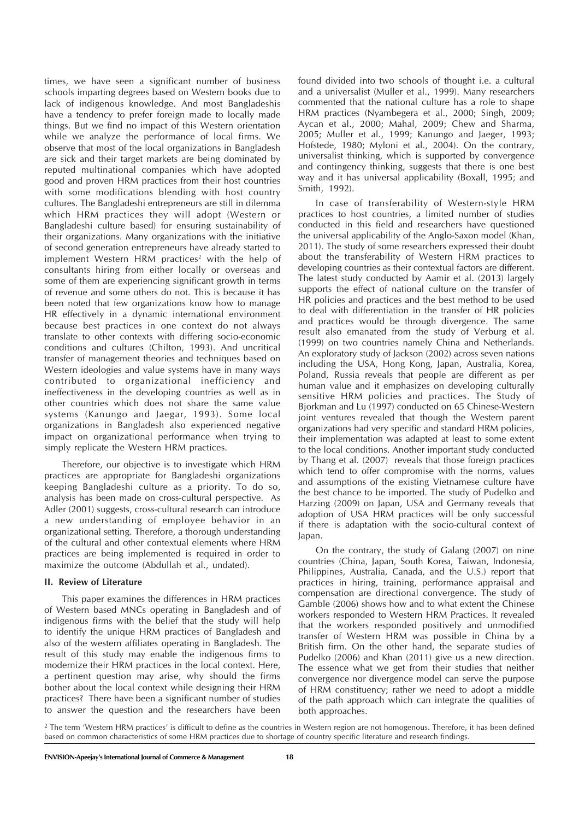times, we have seen a significant number of business schools imparting degrees based on Western books due to lack of indigenous knowledge. And most Bangladeshis have a tendency to prefer foreign made to locally made things. But we find no impact of this Western orientation while we analyze the performance of local firms. We observe that most of the local organizations in Bangladesh are sick and their target markets are being dominated by reputed multinational companies which have adopted good and proven HRM practices from their host countries with some modifications blending with host country cultures. The Bangladeshi entrepreneurs are still in dilemma which HRM practices they will adopt (Western or Bangladeshi culture based) for ensuring sustainability of their organizations. Many organizations with the initiative of second generation entrepreneurs have already started to implement Western HRM practices<sup>2</sup> with the help of consultants hiring from either locally or overseas and some of them are experiencing significant growth in terms of revenue and some others do not. This is because it has been noted that few organizations know how to manage HR effectively in a dynamic international environment because best practices in one context do not always translate to other contexts with differing socio-economic conditions and cultures (Chilton, 1993). And uncritical transfer of management theories and techniques based on Western ideologies and value systems have in many ways contributed to organizational inefficiency and ineffectiveness in the developing countries as well as in other countries which does not share the same value systems (Kanungo and Jaegar, 1993). Some local organizations in Bangladesh also experienced negative impact on organizational performance when trying to simply replicate the Western HRM practices.

Therefore, our objective is to investigate which HRM practices are appropriate for Bangladeshi organizations keeping Bangladeshi culture as a priority. To do so, analysis has been made on cross-cultural perspective. As Adler (2001) suggests, cross-cultural research can introduce a new understanding of employee behavior in an organizational setting. Therefore, a thorough understanding of the cultural and other contextual elements where HRM practices are being implemented is required in order to maximize the outcome (Abdullah et al., undated).

## **II. Review of Literature**

This paper examines the differences in HRM practices of Western based MNCs operating in Bangladesh and of indigenous firms with the belief that the study will help to identify the unique HRM practices of Bangladesh and also of the western affiliates operating in Bangladesh. The result of this study may enable the indigenous firms to modernize their HRM practices in the local context. Here, a pertinent question may arise, why should the firms bother about the local context while designing their HRM practices? There have been a significant number of studies to answer the question and the researchers have been found divided into two schools of thought i.e. a cultural and a universalist (Muller et al., 1999). Many researchers commented that the national culture has a role to shape HRM practices (Nyambegera et al., 2000; Singh, 2009; Aycan et al., 2000; Mahal, 2009; Chew and Sharma, 2005; Muller et al., 1999; Kanungo and Jaeger, 1993; Hofstede, 1980; Myloni et al., 2004). On the contrary, universalist thinking, which is supported by convergence and contingency thinking, suggests that there is one best way and it has universal applicability (Boxall, 1995; and Smith, 1992).

In case of transferability of Western-style HRM practices to host countries, a limited number of studies conducted in this field and researchers have questioned the universal applicability of the Anglo-Saxon model (Khan, 2011). The study of some researchers expressed their doubt about the transferability of Western HRM practices to developing countries as their contextual factors are different. The latest study conducted by Aamir et al. (2013) largely supports the effect of national culture on the transfer of HR policies and practices and the best method to be used to deal with differentiation in the transfer of HR policies and practices would be through divergence. The same result also emanated from the study of Verburg et al. (1999) on two countries namely China and Netherlands. An exploratory study of Jackson (2002) across seven nations including the USA, Hong Kong, Japan, Australia, Korea, Poland, Russia reveals that people are different as per human value and it emphasizes on developing culturally sensitive HRM policies and practices. The Study of Bjorkman and Lu (1997) conducted on 65 Chinese-Western joint ventures revealed that though the Western parent organizations had very specific and standard HRM policies, their implementation was adapted at least to some extent to the local conditions. Another important study conducted by Thang et al. (2007) reveals that those foreign practices which tend to offer compromise with the norms, values and assumptions of the existing Vietnamese culture have the best chance to be imported. The study of Pudelko and Harzing (2009) on Japan, USA and Germany reveals that adoption of USA HRM practices will be only successful if there is adaptation with the socio-cultural context of Japan.

On the contrary, the study of Galang (2007) on nine countries (China, Japan, South Korea, Taiwan, Indonesia, Philippines, Australia, Canada, and the U.S.) report that practices in hiring, training, performance appraisal and compensation are directional convergence. The study of Gamble (2006) shows how and to what extent the Chinese workers responded to Western HRM Practices. It revealed that the workers responded positively and unmodified transfer of Western HRM was possible in China by a British firm. On the other hand, the separate studies of Pudelko (2006) and Khan (2011) give us a new direction. The essence what we get from their studies that neither convergence nor divergence model can serve the purpose of HRM constituency; rather we need to adopt a middle of the path approach which can integrate the qualities of both approaches.

<sup>2</sup> The term 'Western HRM practices' is difficult to define as the countries in Western region are not homogenous. Therefore, it has been defined based on common characteristics of some HRM practices due to shortage of country specific literature and research findings.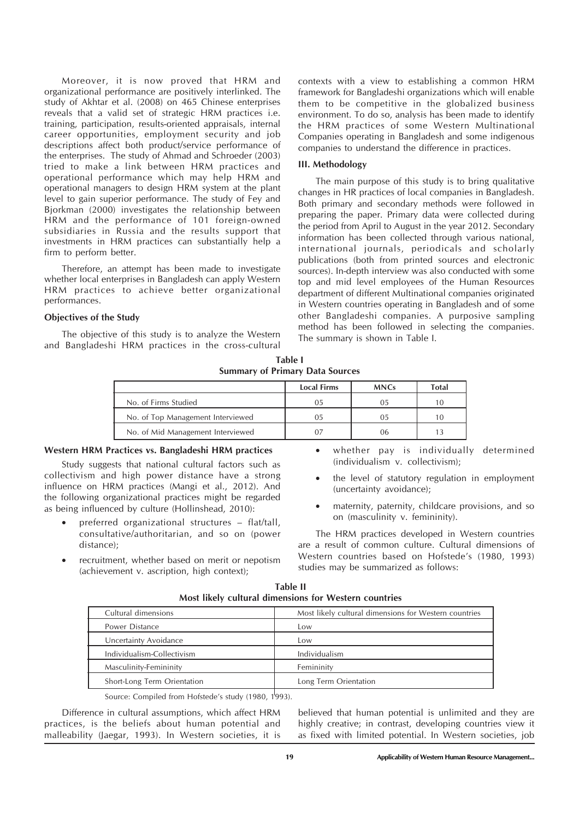Moreover, it is now proved that HRM and organizational performance are positively interlinked. The study of Akhtar et al. (2008) on 465 Chinese enterprises reveals that a valid set of strategic HRM practices i.e. training, participation, results-oriented appraisals, internal career opportunities, employment security and job descriptions affect both product/service performance of the enterprises. The study of Ahmad and Schroeder (2003) tried to make a link between HRM practices and operational performance which may help HRM and operational managers to design HRM system at the plant level to gain superior performance. The study of Fey and Bjorkman (2000) investigates the relationship between HRM and the performance of 101 foreign-owned subsidiaries in Russia and the results support that investments in HRM practices can substantially help a firm to perform better.

Therefore, an attempt has been made to investigate whether local enterprises in Bangladesh can apply Western HRM practices to achieve better organizational performances.

## **Objectives of the Study**

The objective of this study is to analyze the Western and Bangladeshi HRM practices in the cross-cultural contexts with a view to establishing a common HRM framework for Bangladeshi organizations which will enable them to be competitive in the globalized business environment. To do so, analysis has been made to identify the HRM practices of some Western Multinational Companies operating in Bangladesh and some indigenous companies to understand the difference in practices.

## **III. Methodology**

The main purpose of this study is to bring qualitative changes in HR practices of local companies in Bangladesh. Both primary and secondary methods were followed in preparing the paper. Primary data were collected during the period from April to August in the year 2012. Secondary information has been collected through various national, international journals, periodicals and scholarly publications (both from printed sources and electronic sources). In-depth interview was also conducted with some top and mid level employees of the Human Resources department of different Multinational companies originated in Western countries operating in Bangladesh and of some other Bangladeshi companies. A purposive sampling method has been followed in selecting the companies. The summary is shown in Table I.

**Table I Summary of Primary Data Sources**

|                                   | <b>Local Firms</b> | <b>MNCs</b> | Total |
|-----------------------------------|--------------------|-------------|-------|
| No. of Firms Studied              | 05                 | 05          |       |
| No. of Top Management Interviewed | 05                 | 05          | 10    |
| No. of Mid Management Interviewed |                    | 06          |       |

#### **Western HRM Practices vs. Bangladeshi HRM practices**

Study suggests that national cultural factors such as collectivism and high power distance have a strong influence on HRM practices (Mangi et al., 2012). And the following organizational practices might be regarded as being influenced by culture (Hollinshead, 2010):

- preferred organizational structures flat/tall, consultative/authoritarian, and so on (power distance);
- recruitment, whether based on merit or nepotism (achievement v. ascription, high context);
- whether pay is individually determined (individualism v. collectivism);
- the level of statutory regulation in employment (uncertainty avoidance);
- maternity, paternity, childcare provisions, and so on (masculinity v. femininity).

The HRM practices developed in Western countries are a result of common culture. Cultural dimensions of Western countries based on Hofstede's (1980, 1993) studies may be summarized as follows:

| Cultural dimensions         | Most likely cultural dimensions for Western countries |  |
|-----------------------------|-------------------------------------------------------|--|
| Power Distance              | Low                                                   |  |
| Uncertainty Avoidance       | Low                                                   |  |
| Individualism-Collectivism  | Individualism                                         |  |
| Masculinity-Femininity      | Femininity                                            |  |
| Short-Long Term Orientation | Long Term Orientation                                 |  |

**Table II Most likely cultural dimensions for Western countries**

Source: Compiled from Hofstede's study (1980, 1993).

Difference in cultural assumptions, which affect HRM practices, is the beliefs about human potential and malleability (Jaegar, 1993). In Western societies, it is

believed that human potential is unlimited and they are highly creative; in contrast, developing countries view it as fixed with limited potential. In Western societies, job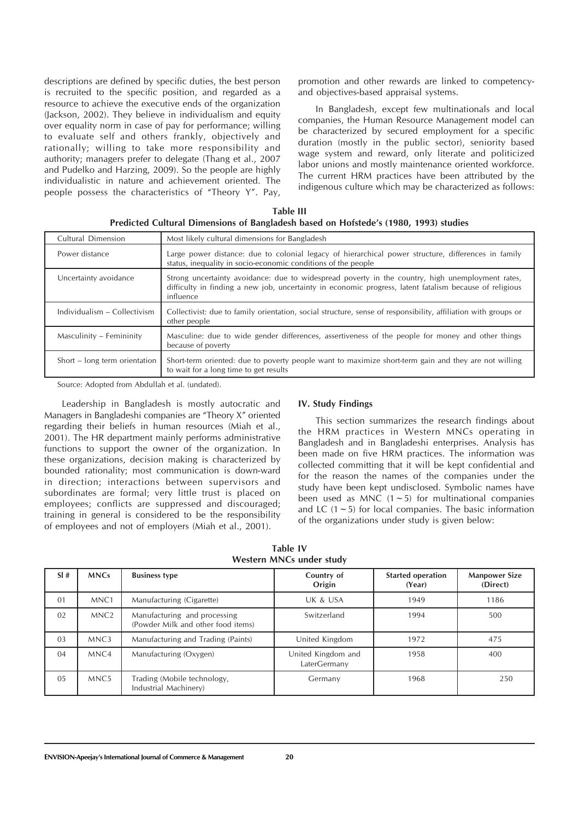descriptions are defined by specific duties, the best person is recruited to the specific position, and regarded as a resource to achieve the executive ends of the organization (Jackson, 2002). They believe in individualism and equity over equality norm in case of pay for performance; willing to evaluate self and others frankly, objectively and rationally; willing to take more responsibility and authority; managers prefer to delegate (Thang et al., 2007 and Pudelko and Harzing, 2009). So the people are highly individualistic in nature and achievement oriented. The people possess the characteristics of "Theory Y". Pay,

promotion and other rewards are linked to competencyand objectives-based appraisal systems.

In Bangladesh, except few multinationals and local companies, the Human Resource Management model can be characterized by secured employment for a specific duration (mostly in the public sector), seniority based wage system and reward, only literate and politicized labor unions and mostly maintenance oriented workforce. The current HRM practices have been attributed by the indigenous culture which may be characterized as follows:

| Table III                                                                            |  |
|--------------------------------------------------------------------------------------|--|
| Predicted Cultural Dimensions of Bangladesh based on Hofstede's (1980, 1993) studies |  |

| Cultural Dimension            | Most likely cultural dimensions for Bangladesh                                                                                                                                                                           |  |
|-------------------------------|--------------------------------------------------------------------------------------------------------------------------------------------------------------------------------------------------------------------------|--|
| Power distance                | Large power distance: due to colonial legacy of hierarchical power structure, differences in family<br>status, inequality in socio-economic conditions of the people                                                     |  |
| Uncertainty avoidance         | Strong uncertainty avoidance: due to widespread poverty in the country, high unemployment rates,<br>difficulty in finding a new job, uncertainty in economic progress, latent fatalism because of religious<br>influence |  |
| Individualism - Collectivism  | Collectivist: due to family orientation, social structure, sense of responsibility, affiliation with groups or<br>other people                                                                                           |  |
| Masculinity – Femininity      | Masculine: due to wide gender differences, assertiveness of the people for money and other things<br>because of poverty                                                                                                  |  |
| Short – long term orientation | Short-term oriented: due to poverty people want to maximize short-term gain and they are not willing<br>to wait for a long time to get results                                                                           |  |

Source: Adopted from Abdullah et al. (undated).

Leadership in Bangladesh is mostly autocratic and Managers in Bangladeshi companies are "Theory X" oriented regarding their beliefs in human resources (Miah et al., 2001). The HR department mainly performs administrative functions to support the owner of the organization. In these organizations, decision making is characterized by bounded rationality; most communication is down-ward in direction; interactions between supervisors and subordinates are formal; very little trust is placed on employees; conflicts are suppressed and discouraged; training in general is considered to be the responsibility of employees and not of employers (Miah et al., 2001).

#### **IV. Study Findings**

This section summarizes the research findings about the HRM practices in Western MNCs operating in Bangladesh and in Bangladeshi enterprises. Analysis has been made on five HRM practices. The information was collected committing that it will be kept confidential and for the reason the names of the companies under the study have been kept undisclosed. Symbolic names have been used as MNC  $(1 - 5)$  for multinational companies and LC  $(1 \sim 5)$  for local companies. The basic information of the organizations under study is given below:

| SI# | <b>MNCs</b>      | <b>Business type</b>                                               | Country of<br>Origin               | <b>Started operation</b><br>(Year) | <b>Manpower Size</b><br>(Direct) |
|-----|------------------|--------------------------------------------------------------------|------------------------------------|------------------------------------|----------------------------------|
| 01  | MNC <sub>1</sub> | Manufacturing (Cigarette)                                          | UK & USA                           | 1949                               | 1186                             |
| 02  | MNC <sub>2</sub> | Manufacturing and processing<br>(Powder Milk and other food items) | Switzerland                        | 1994                               | 500                              |
| 03  | MNC3             | Manufacturing and Trading (Paints)                                 | United Kingdom                     | 1972                               | 475                              |
| 04  | MNC <sub>4</sub> | Manufacturing (Oxygen)                                             | United Kingdom and<br>LaterGermany | 1958                               | 400                              |
| 05  | MNC <sub>5</sub> | Trading (Mobile technology,<br>Industrial Machinery)               | Germany                            | 1968                               | 250                              |

**Table IV Western MNCs under study**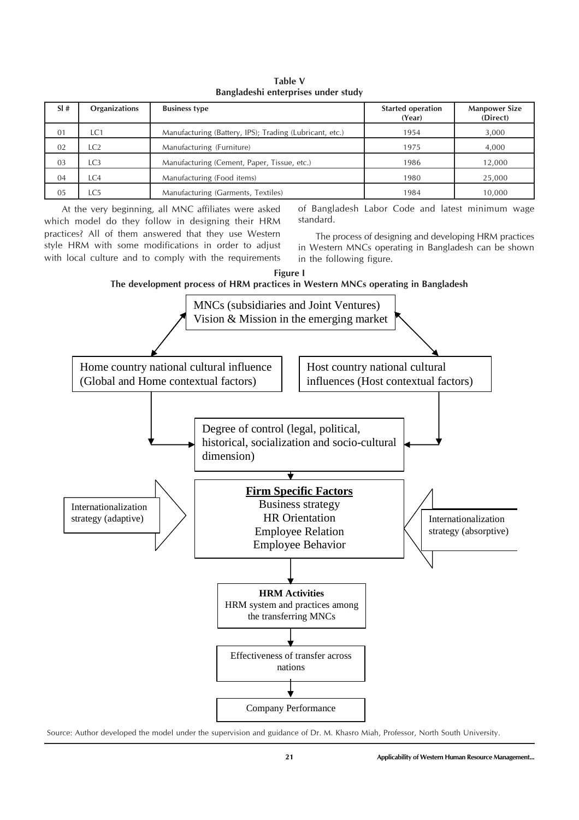| <b>Danguacem Chiciprises and critique</b> |                      |                                                         |                                    |                                  |
|-------------------------------------------|----------------------|---------------------------------------------------------|------------------------------------|----------------------------------|
| SI#                                       | <b>Organizations</b> | <b>Business type</b>                                    | <b>Started operation</b><br>(Year) | <b>Manpower Size</b><br>(Direct) |
| 01                                        | LC1                  | Manufacturing (Battery, IPS); Trading (Lubricant, etc.) | 1954                               | 3,000                            |
| 02                                        | LC2                  | Manufacturing (Furniture)                               | 1975                               | 4,000                            |
| 03                                        | LC <sub>3</sub>      | Manufacturing (Cement, Paper, Tissue, etc.)             | 1986                               | 12,000                           |
| 04                                        | LC4                  | Manufacturing (Food items)                              | 1980                               | 25,000                           |
| 05                                        | LC5                  | Manufacturing (Garments, Textiles)                      | 1984                               | 10.000                           |

**Table V Bangladeshi enterprises under study**

At the very beginning, all MNC affiliates were asked which model do they follow in designing their HRM practices? All of them answered that they use Western style HRM with some modifications in order to adjust with local culture and to comply with the requirements

of Bangladesh Labor Code and latest minimum wage standard.

The process of designing and developing HRM practices in Western MNCs operating in Bangladesh can be shown in the following figure.

**Figure I**

**The development process of HRM practices in Western MNCs operating in Bangladesh**



Source: Author developed the model under the supervision and guidance of Dr. M. Khasro Miah, Professor, North South University.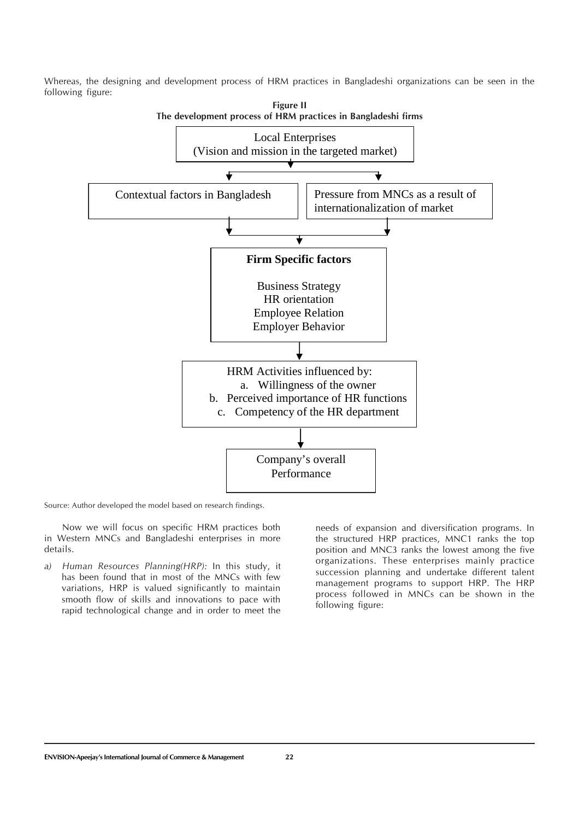Whereas, the designing and development process of HRM practices in Bangladeshi organizations can be seen in the following figure:



Source: Author developed the model based on research findings.

Now we will focus on specific HRM practices both in Western MNCs and Bangladeshi enterprises in more details.

*a) Human Resources Planning(HRP):* In this study, it has been found that in most of the MNCs with few variations, HRP is valued significantly to maintain smooth flow of skills and innovations to pace with rapid technological change and in order to meet the needs of expansion and diversification programs. In the structured HRP practices, MNC1 ranks the top position and MNC3 ranks the lowest among the five organizations. These enterprises mainly practice succession planning and undertake different talent management programs to support HRP. The HRP process followed in MNCs can be shown in the following figure: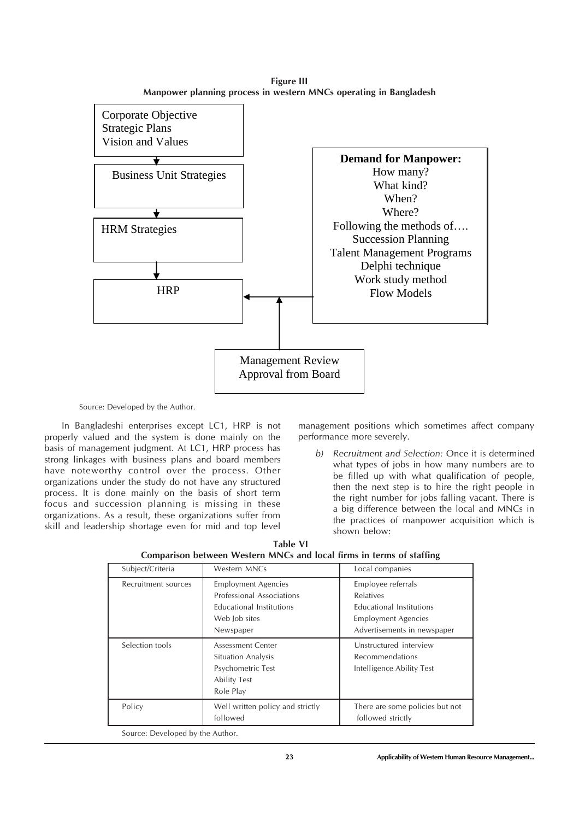**Figure III Manpower planning process in western MNCs operating in Bangladesh**



Source: Developed by the Author.

In Bangladeshi enterprises except LC1, HRP is not properly valued and the system is done mainly on the basis of management judgment. At LC1, HRP process has strong linkages with business plans and board members have noteworthy control over the process. Other organizations under the study do not have any structured process. It is done mainly on the basis of short term focus and succession planning is missing in these organizations. As a result, these organizations suffer from skill and leadership shortage even for mid and top level management positions which sometimes affect company performance more severely.

*b) Recruitment and Selection:* Once it is determined what types of jobs in how many numbers are to be filled up with what qualification of people, then the next step is to hire the right people in the right number for jobs falling vacant. There is a big difference between the local and MNCs in the practices of manpower acquisition which is shown below:

| Subject/Criteria                 | Western MNCs                                                                                                             | Local companies                                                                                                          |
|----------------------------------|--------------------------------------------------------------------------------------------------------------------------|--------------------------------------------------------------------------------------------------------------------------|
| Recruitment sources              | <b>Employment Agencies</b><br>Professional Associations<br><b>Educational Institutions</b><br>Web Job sites<br>Newspaper | Employee referrals<br>Relatives<br>Educational Institutions<br><b>Employment Agencies</b><br>Advertisements in newspaper |
| Selection tools                  | <b>Assessment Center</b><br>Situation Analysis<br>Psychometric Test<br><b>Ability Test</b><br>Role Play                  | Unstructured interview<br>Recommendations<br>Intelligence Ability Test                                                   |
| Policy                           | Well written policy and strictly<br>followed                                                                             | There are some policies but not<br>followed strictly                                                                     |
| Source: Developed by the Author. |                                                                                                                          |                                                                                                                          |

**Table VI Comparison between Western MNCs and local firms in terms of staffing**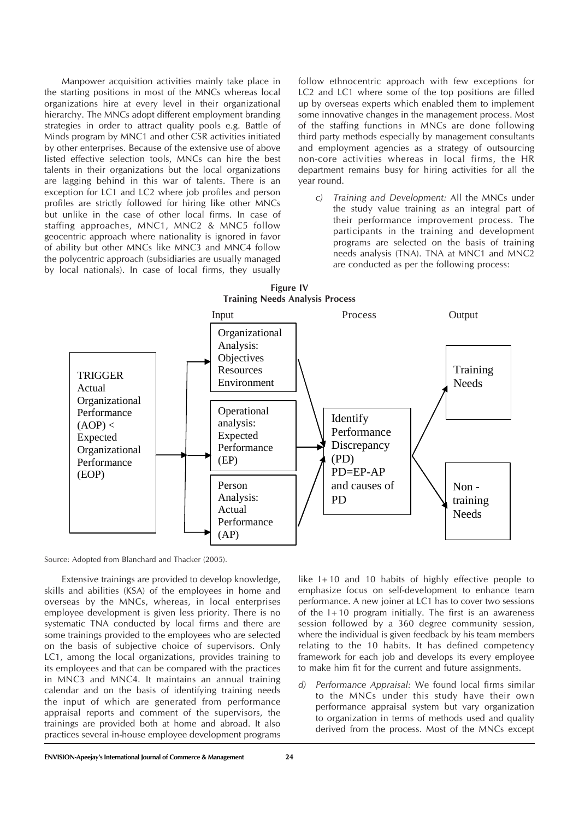Manpower acquisition activities mainly take place in the starting positions in most of the MNCs whereas local organizations hire at every level in their organizational hierarchy. The MNCs adopt different employment branding strategies in order to attract quality pools e.g. Battle of Minds program by MNC1 and other CSR activities initiated by other enterprises. Because of the extensive use of above listed effective selection tools, MNCs can hire the best talents in their organizations but the local organizations are lagging behind in this war of talents. There is an exception for LC1 and LC2 where job profiles and person profiles are strictly followed for hiring like other MNCs but unlike in the case of other local firms. In case of staffing approaches, MNC1, MNC2 & MNC5 follow geocentric approach where nationality is ignored in favor of ability but other MNCs like MNC3 and MNC4 follow the polycentric approach (subsidiaries are usually managed by local nationals). In case of local firms, they usually follow ethnocentric approach with few exceptions for LC2 and LC1 where some of the top positions are filled up by overseas experts which enabled them to implement some innovative changes in the management process. Most of the staffing functions in MNCs are done following third party methods especially by management consultants and employment agencies as a strategy of outsourcing non-core activities whereas in local firms, the HR department remains busy for hiring activities for all the year round.

*c) Training and Development:* All the MNCs under the study value training as an integral part of their performance improvement process. The participants in the training and development programs are selected on the basis of training needs analysis (TNA). TNA at MNC1 and MNC2 are conducted as per the following process:



Source: Adopted from Blanchard and Thacker (2005).

Extensive trainings are provided to develop knowledge, skills and abilities (KSA) of the employees in home and overseas by the MNCs, whereas, in local enterprises employee development is given less priority. There is no systematic TNA conducted by local firms and there are some trainings provided to the employees who are selected on the basis of subjective choice of supervisors. Only LC1, among the local organizations, provides training to its employees and that can be compared with the practices in MNC3 and MNC4. It maintains an annual training calendar and on the basis of identifying training needs the input of which are generated from performance appraisal reports and comment of the supervisors, the trainings are provided both at home and abroad. It also practices several in-house employee development programs like I+10 and 10 habits of highly effective people to emphasize focus on self-development to enhance team performance. A new joiner at LC1 has to cover two sessions of the  $1+10$  program initially. The first is an awareness session followed by a 360 degree community session, where the individual is given feedback by his team members relating to the 10 habits. It has defined competency framework for each job and develops its every employee to make him fit for the current and future assignments.

*d) Performance Appraisal:* We found local firms similar to the MNCs under this study have their own performance appraisal system but vary organization to organization in terms of methods used and quality derived from the process. Most of the MNCs except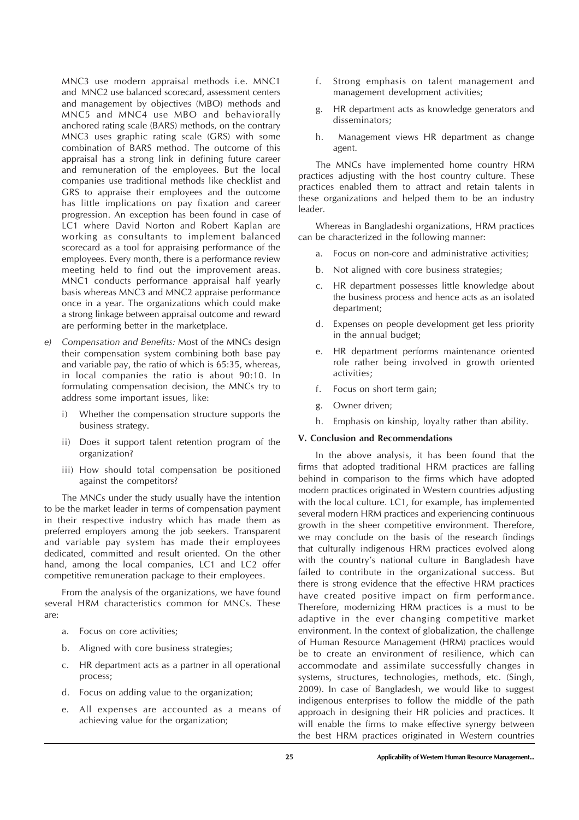MNC3 use modern appraisal methods i.e. MNC1 and MNC2 use balanced scorecard, assessment centers and management by objectives (MBO) methods and MNC5 and MNC4 use MBO and behaviorally anchored rating scale (BARS) methods, on the contrary MNC3 uses graphic rating scale (GRS) with some combination of BARS method. The outcome of this appraisal has a strong link in defining future career and remuneration of the employees. But the local companies use traditional methods like checklist and GRS to appraise their employees and the outcome has little implications on pay fixation and career progression. An exception has been found in case of LC1 where David Norton and Robert Kaplan are working as consultants to implement balanced scorecard as a tool for appraising performance of the employees. Every month, there is a performance review meeting held to find out the improvement areas. MNC1 conducts performance appraisal half yearly basis whereas MNC3 and MNC2 appraise performance once in a year. The organizations which could make a strong linkage between appraisal outcome and reward are performing better in the marketplace.

- *e) Compensation and Benefits:* Most of the MNCs design their compensation system combining both base pay and variable pay, the ratio of which is 65:35, whereas, in local companies the ratio is about 90:10. In formulating compensation decision, the MNCs try to address some important issues, like:
	- i) Whether the compensation structure supports the business strategy.
	- ii) Does it support talent retention program of the organization?
	- iii) How should total compensation be positioned against the competitors?

The MNCs under the study usually have the intention to be the market leader in terms of compensation payment in their respective industry which has made them as preferred employers among the job seekers. Transparent and variable pay system has made their employees dedicated, committed and result oriented. On the other hand, among the local companies, LC1 and LC2 offer competitive remuneration package to their employees.

From the analysis of the organizations, we have found several HRM characteristics common for MNCs. These are:

- a. Focus on core activities;
- b. Aligned with core business strategies;
- c. HR department acts as a partner in all operational process;
- d. Focus on adding value to the organization;
- e. All expenses are accounted as a means of achieving value for the organization;
- f. Strong emphasis on talent management and management development activities;
- g. HR department acts as knowledge generators and disseminators;
- h. Management views HR department as change agent.

The MNCs have implemented home country HRM practices adjusting with the host country culture. These practices enabled them to attract and retain talents in these organizations and helped them to be an industry leader.

Whereas in Bangladeshi organizations, HRM practices can be characterized in the following manner:

- a. Focus on non-core and administrative activities;
- b. Not aligned with core business strategies;
- c. HR department possesses little knowledge about the business process and hence acts as an isolated department;
- d. Expenses on people development get less priority in the annual budget;
- e. HR department performs maintenance oriented role rather being involved in growth oriented activities;
- f. Focus on short term gain;
- g. Owner driven;
- h. Emphasis on kinship, loyalty rather than ability.

#### **V. Conclusion and Recommendations**

In the above analysis, it has been found that the firms that adopted traditional HRM practices are falling behind in comparison to the firms which have adopted modern practices originated in Western countries adjusting with the local culture. LC1, for example, has implemented several modern HRM practices and experiencing continuous growth in the sheer competitive environment. Therefore, we may conclude on the basis of the research findings that culturally indigenous HRM practices evolved along with the country's national culture in Bangladesh have failed to contribute in the organizational success. But there is strong evidence that the effective HRM practices have created positive impact on firm performance. Therefore, modernizing HRM practices is a must to be adaptive in the ever changing competitive market environment. In the context of globalization, the challenge of Human Resource Management (HRM) practices would be to create an environment of resilience, which can accommodate and assimilate successfully changes in systems, structures, technologies, methods, etc. (Singh, 2009). In case of Bangladesh, we would like to suggest indigenous enterprises to follow the middle of the path approach in designing their HR policies and practices. It will enable the firms to make effective synergy between the best HRM practices originated in Western countries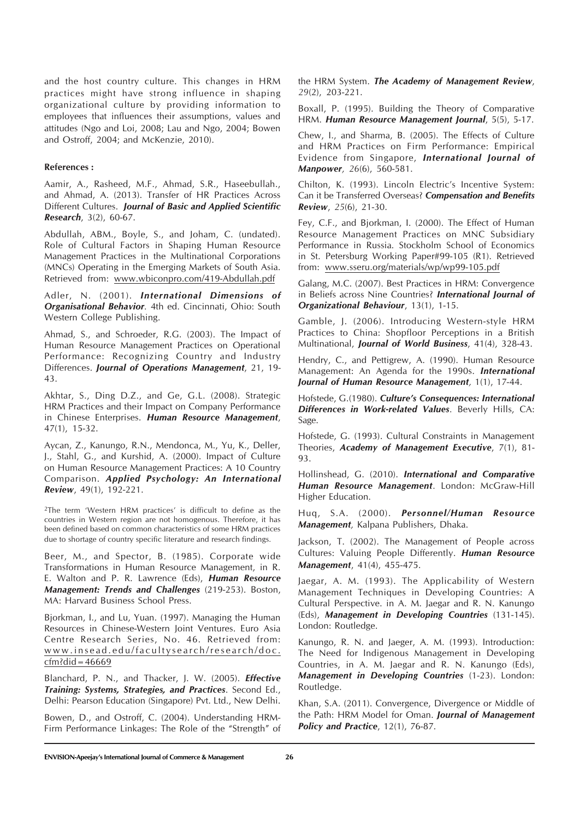and the host country culture. This changes in HRM practices might have strong influence in shaping organizational culture by providing information to employees that influences their assumptions, values and attitudes (Ngo and Loi, 2008; Lau and Ngo, 2004; Bowen and Ostroff, 2004; and McKenzie, 2010).

### **References :**

Aamir, A., Rasheed, M.F., Ahmad, S.R., Haseebullah., and Ahmad, A. (2013). Transfer of HR Practices Across Different Cultures. *Journal of Basic and Applied Scientific Research*, 3(2), 60-67.

Abdullah, ABM., Boyle, S., and Joham, C. (undated). Role of Cultural Factors in Shaping Human Resource Management Practices in the Multinational Corporations (MNCs) Operating in the Emerging Markets of South Asia. Retrieved from: www.wbiconpro.com/419-Abdullah.pdf

Adler, N. (2001). *International Dimensions of Organisational Behavior.* 4th ed. Cincinnati, Ohio: South Western College Publishing.

Ahmad, S., and Schroeder, R.G. (2003). The Impact of Human Resource Management Practices on Operational Performance: Recognizing Country and Industry Differences. *Journal of Operations Management*, 21, 19- 43.

Akhtar, S., Ding D.Z., and Ge, G.L. (2008). Strategic HRM Practices and their Impact on Company Performance in Chinese Enterprises. *Human Resource Management*, 47(1), 15-32.

Aycan, Z., Kanungo, R.N., Mendonca, M., Yu, K., Deller, J., Stahl, G., and Kurshid, A. (2000). Impact of Culture on Human Resource Management Practices: A 10 Country Comparison. *Applied Psychology: An International Review*, 49(1), 192-221.

2The term 'Western HRM practices' is difficult to define as the countries in Western region are not homogenous. Therefore, it has been defined based on common characteristics of some HRM practices due to shortage of country specific literature and research findings.

Beer, M., and Spector, B. (1985). Corporate wide Transformations in Human Resource Management, in R. E. Walton and P. R. Lawrence (Eds), *Human Resource Management: Trends and Challenges* (219-253). Boston, MA: Harvard Business School Press.

Bjorkman, I., and Lu, Yuan. (1997). Managing the Human Resources in Chinese-Western Joint Ventures. Euro Asia Centre Research Series, No. 46. Retrieved from: www.insead.edu/facultysearch/research/doc. cfm?did=46669

Blanchard, P. N., and Thacker, J. W. (2005). *Effective Training: Systems, Strategies, and Practices*. Second Ed., Delhi: Pearson Education (Singapore) Pvt. Ltd., New Delhi.

Bowen, D., and Ostroff, C. (2004). Understanding HRM-Firm Performance Linkages: The Role of the "Strength" of the HRM System. *The Academy of Management Review*, *29*(2), 203-221.

Boxall, P. (1995). Building the Theory of Comparative HRM. *Human Resource Management Journal*, 5(5), 5-17.

Chew, I., and Sharma, B. (2005). The Effects of Culture and HRM Practices on Firm Performance: Empirical Evidence from Singapore, *International Journal of Manpower, 26*(6), 560-581.

Chilton, K. (1993). Lincoln Electric's Incentive System: Can it be Transferred Overseas? *Compensation and Benefits Review*, *25*(6), 21-30.

Fey, C.F., and Bjorkman, I. (2000). The Effect of Human Resource Management Practices on MNC Subsidiary Performance in Russia. Stockholm School of Economics in St. Petersburg Working Paper#99-105 (R1). Retrieved from: www.sseru.org/materials/wp/wp99-105.pdf

Galang, M.C. (2007). Best Practices in HRM: Convergence in Beliefs across Nine Countries? *International Journal of Organizational Behaviour*, 13(1), 1-15.

Gamble, J. (2006). Introducing Western-style HRM Practices to China: Shopfloor Perceptions in a British Multinational, *Journal of World Business*, 41(4), 328-43.

Hendry, C., and Pettigrew, A. (1990). Human Resource Management: An Agenda for the 1990s. *International Journal of Human Resource Management,* 1(1), 17-44.

Hofstede, G.(1980). *Culture's Consequences: International Differences in Work-related Values.* Beverly Hills, CA: Sage.

Hofstede, G. (1993). Cultural Constraints in Management Theories, *Academy of Management Executive*, 7(1), 81- 93.

Hollinshead, G. (2010). *International and Comparative Human Resource Management.* London: McGraw-Hill Higher Education.

Huq, S.A. (2000). *Personnel/Human Resource Management,* Kalpana Publishers, Dhaka.

Jackson, T. (2002). The Management of People across Cultures: Valuing People Differently. *Human Resource Management*, 41(4), 455-475.

Jaegar, A. M. (1993). The Applicability of Western Management Techniques in Developing Countries: A Cultural Perspective. in A. M. Jaegar and R. N. Kanungo (Eds), *Management in Developing Countries* (131-145). London: Routledge.

Kanungo, R. N. and Jaeger, A. M. (1993). Introduction: The Need for Indigenous Management in Developing Countries, in A. M. Jaegar and R. N. Kanungo (Eds), *Management in Developing Countries* (1-23). London: Routledge.

Khan, S.A. (2011). Convergence, Divergence or Middle of the Path: HRM Model for Oman. *Journal of Management Policy and Practice*, 12(1), 76-87.